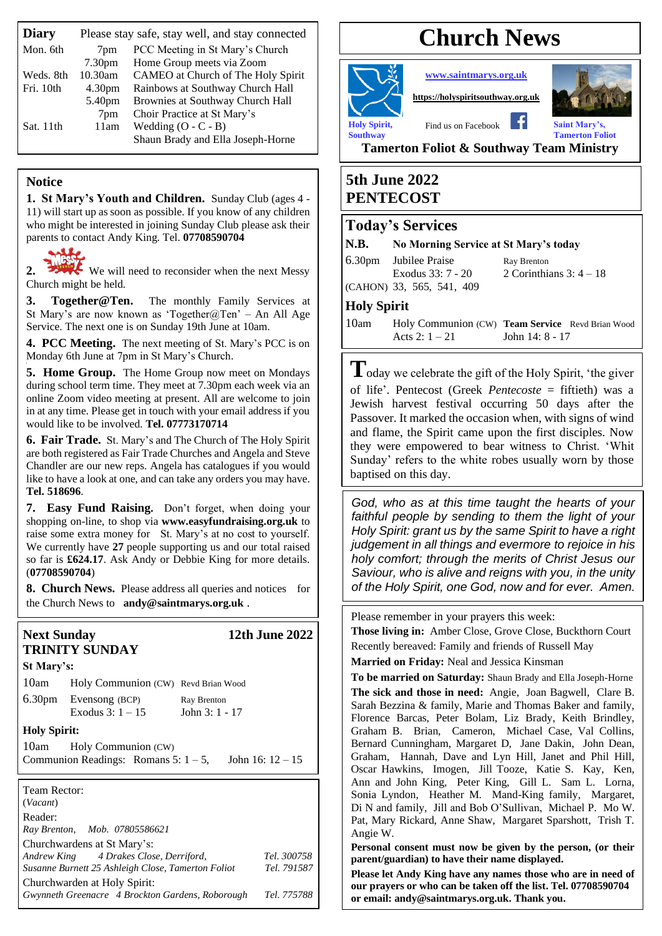| <b>Diary</b> | Please stay safe, stay well, and stay connected |                                    |  |  |
|--------------|-------------------------------------------------|------------------------------------|--|--|
| Mon. 6th     | 7pm                                             | PCC Meeting in St Mary's Church    |  |  |
|              | 7.30 <sub>pm</sub>                              | Home Group meets via Zoom          |  |  |
| Weds. 8th    | 10.30am                                         | CAMEO at Church of The Holy Spirit |  |  |
| Fri. 10th    | 4.30 <sub>pm</sub>                              | Rainbows at Southway Church Hall   |  |  |
|              | 5.40pm                                          | Brownies at Southway Church Hall   |  |  |
|              | 7pm                                             | Choir Practice at St Mary's        |  |  |
| Sat. 11th    | 11am                                            | Wedding $(O - C - B)$              |  |  |
|              |                                                 | Shaun Brady and Ella Joseph-Horne  |  |  |
|              |                                                 |                                    |  |  |

#### **Notice**

**1. St Mary's Youth and Children.** Sunday Club (ages 4 - 11) will start up as soon as possible. If you know of any children who might be interested in joining Sunday Club please ask their parents to contact Andy King. Tel. **07708590704**



2. We will need to reconsider when the next Messy Church might be held.

**3. Together@Ten.** The monthly Family Services at St Mary's are now known as 'Together@Ten' – An All Age Service. The next one is on Sunday 19th June at 10am.

**4. PCC Meeting.** The next meeting of St. Mary's PCC is on Monday 6th June at 7pm in St Mary's Church.

**5. Home Group.** The Home Group now meet on Mondays during school term time. They meet at 7.30pm each week via an online Zoom video meeting at present. All are welcome to join in at any time. Please get in touch with your email address if you would like to be involved. **Tel. 07773170714**

**6. Fair Trade.** St. Mary's and The Church of The Holy Spirit are both registered as Fair Trade Churches and Angela and Steve Chandler are our new reps. Angela has catalogues if you would like to have a look at one, and can take any orders you may have. **Tel. 518696**.

**7. Easy Fund Raising.** Don't forget, when doing your shopping on-line, to shop via **[www.easyfundraising.org.uk](http://www.easyfundraising.org.uk/)** to raise some extra money for St. Mary's at no cost to yourself. We currently have **27** people supporting us and our total raised so far is **£624.17**. Ask Andy or Debbie King for more details. (**07708590704**)

**8. Church News.** Please address all queries and notices for the Church News to **[andy@saintmarys.org.uk](mailto:andy@saintmarys.org.uk)** .

#### **Next Sunday 12th June 2022 TRINITY SUNDAY**

Churchwarden at Holy Spirit:

| St Mary's:                                         |                                                                                    |  |  |
|----------------------------------------------------|------------------------------------------------------------------------------------|--|--|
|                                                    | 10am Holy Communion (CW) Revd Brian Wood                                           |  |  |
|                                                    | 6.30pm Evensong (BCP) Ray Brenton<br>Exodus $3: 1 - 15$ John $3: 1 - 17$           |  |  |
| <b>Holy Spirit:</b>                                |                                                                                    |  |  |
|                                                    | 10am Holy Communion (CW)<br>Communion Readings: Romans 5: $1-5$ , John 16: $12-15$ |  |  |
| Team Rector:<br>(Vacant)<br>Reader:                |                                                                                    |  |  |
|                                                    | Ray Brenton, Mob. 07805586621                                                      |  |  |
|                                                    | Churchwardens at St Mary's:                                                        |  |  |
| Andrew King 4 Drakes Close, Derriford,             | Tel. 300758                                                                        |  |  |
| Susanne Burnett 25 Ashleigh Close, Tamerton Foliot | Tel. 791587                                                                        |  |  |

*Gwynneth Greenacre 4 Brockton Gardens, Roborough Tel. 775788*

# **Church News**

**[www.saintmarys.org.uk](http://www.saintmarys.org.uk/)**

**[https://holyspiritsouthway.org.uk](https://holyspiritsouthway.org.uk/)**



**Holy Spirit,** Find us on Facebook **Saint Mary's**, **Southway Tamerton Foliot**

**Tamerton Foliot & Southway Team Ministry**

# **5th June 2022 PENTECOST**

# **Today's Services**

#### **N.B. No Morning Service at St Mary's today**

6.30pm Jubilee Praise Ray Brenton (CAHON) 33, 565, 541, 409

Exodus 33: 7 - 20 2 Corinthians 3: 4 – 18

#### **Holy Spirit**

10am Holy Communion (CW) **Team Service** Revd Brian Wood Acts  $2: 1 - 21$  John 14:  $8 - 17$ 

**T**oday we celebrate the gift of the Holy Spirit, 'the giver of life'. Pentecost (Greek *Pentecoste* = fiftieth) was a Jewish harvest festival occurring 50 days after the Passover. It marked the occasion when, with signs of wind and flame, the Spirit came upon the first disciples. Now they were empowered to bear witness to Christ. 'Whit Sunday' refers to the white robes usually worn by those baptised on this day.

*God, who as at this time taught the hearts of your faithful people by sending to them the light of your Holy Spirit: grant us by the same Spirit to have a right judgement in all things and evermore to rejoice in his holy comfort; through the merits of Christ Jesus our Saviour, who is alive and reigns with you, in the unity of the Holy Spirit, one God, now and for ever. Amen.*

Please remember in your prayers this week:

**Those living in:** Amber Close, Grove Close, Buckthorn Court Recently bereaved: Family and friends of Russell May

**Married on Friday:** Neal and Jessica Kinsman

**To be married on Saturday:** Shaun Brady and Ella Joseph-Horne **The sick and those in need:** Angie, Joan Bagwell, Clare B. Sarah Bezzina & family, Marie and Thomas Baker and family, Florence Barcas, Peter Bolam, Liz Brady, Keith Brindley, Graham B. Brian, Cameron, Michael Case, Val Collins, Bernard Cunningham, Margaret D, Jane Dakin, John Dean, Graham, Hannah, Dave and Lyn Hill, Janet and Phil Hill, Oscar Hawkins, Imogen, Jill Tooze, Katie S. Kay, Ken, Ann and John King, Peter King, Gill L. Sam L. Lorna, Sonia Lyndon, Heather M. Mand-King family, Margaret, Di N and family, Jill and Bob O'Sullivan, Michael P. Mo W. Pat, Mary Rickard, Anne Shaw, Margaret Sparshott, Trish T. Angie W.

**Personal consent must now be given by the person, (or their parent/guardian) to have their name displayed.**

**Please let Andy King have any names those who are in need of our prayers or who can be taken off the list. Tel. 07708590704 or email: andy@saintmarys.org.uk. Thank you.**